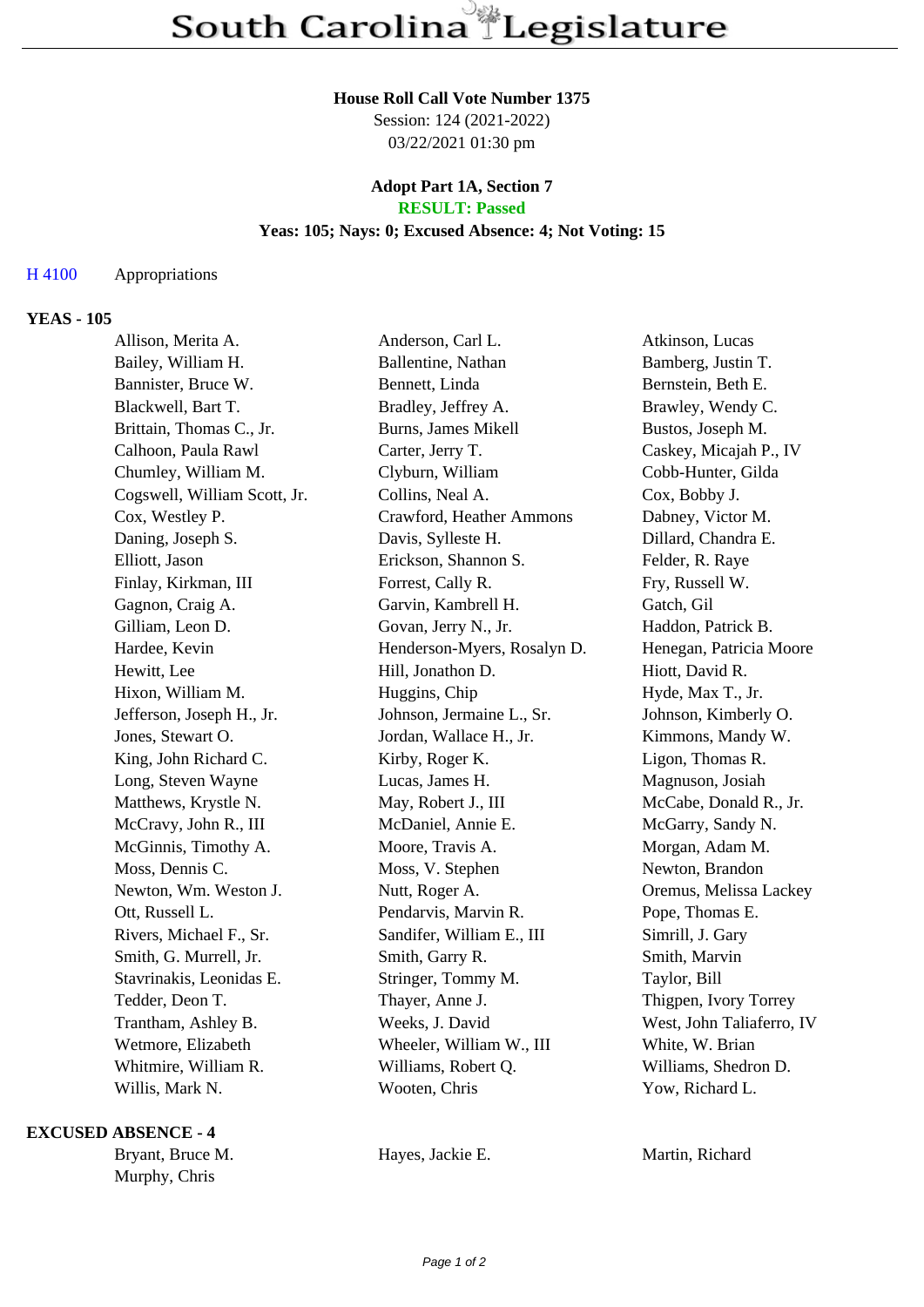#### **House Roll Call Vote Number 1375**

Session: 124 (2021-2022) 03/22/2021 01:30 pm

#### **Adopt Part 1A, Section 7 RESULT: Passed**

## **Yeas: 105; Nays: 0; Excused Absence: 4; Not Voting: 15**

## H 4100 Appropriations

## **YEAS - 105**

| Allison, Merita A.           | Anderson, Carl L.           | Atkinson, Lucas           |
|------------------------------|-----------------------------|---------------------------|
| Bailey, William H.           | Ballentine, Nathan          | Bamberg, Justin T.        |
| Bannister, Bruce W.          | Bennett, Linda              | Bernstein, Beth E.        |
| Blackwell, Bart T.           | Bradley, Jeffrey A.         | Brawley, Wendy C.         |
| Brittain, Thomas C., Jr.     | Burns, James Mikell         | Bustos, Joseph M.         |
| Calhoon, Paula Rawl          | Carter, Jerry T.            | Caskey, Micajah P., IV    |
| Chumley, William M.          | Clyburn, William            | Cobb-Hunter, Gilda        |
| Cogswell, William Scott, Jr. | Collins, Neal A.            | Cox, Bobby J.             |
| Cox, Westley P.              | Crawford, Heather Ammons    | Dabney, Victor M.         |
| Daning, Joseph S.            | Davis, Sylleste H.          | Dillard, Chandra E.       |
| Elliott, Jason               | Erickson, Shannon S.        | Felder, R. Raye           |
| Finlay, Kirkman, III         | Forrest, Cally R.           | Fry, Russell W.           |
| Gagnon, Craig A.             | Garvin, Kambrell H.         | Gatch, Gil                |
| Gilliam, Leon D.             | Govan, Jerry N., Jr.        | Haddon, Patrick B.        |
| Hardee, Kevin                | Henderson-Myers, Rosalyn D. | Henegan, Patricia Moore   |
| Hewitt, Lee                  | Hill, Jonathon D.           | Hiott, David R.           |
| Hixon, William M.            | Huggins, Chip               | Hyde, Max T., Jr.         |
| Jefferson, Joseph H., Jr.    | Johnson, Jermaine L., Sr.   | Johnson, Kimberly O.      |
| Jones, Stewart O.            | Jordan, Wallace H., Jr.     | Kimmons, Mandy W.         |
| King, John Richard C.        | Kirby, Roger K.             | Ligon, Thomas R.          |
| Long, Steven Wayne           | Lucas, James H.             | Magnuson, Josiah          |
| Matthews, Krystle N.         | May, Robert J., III         | McCabe, Donald R., Jr.    |
| McCravy, John R., III        | McDaniel, Annie E.          | McGarry, Sandy N.         |
| McGinnis, Timothy A.         | Moore, Travis A.            | Morgan, Adam M.           |
| Moss, Dennis C.              | Moss, V. Stephen            | Newton, Brandon           |
| Newton, Wm. Weston J.        | Nutt, Roger A.              | Oremus, Melissa Lackey    |
| Ott, Russell L.              | Pendarvis, Marvin R.        | Pope, Thomas E.           |
| Rivers, Michael F., Sr.      | Sandifer, William E., III   | Simrill, J. Gary          |
| Smith, G. Murrell, Jr.       | Smith, Garry R.             | Smith, Marvin             |
| Stavrinakis, Leonidas E.     | Stringer, Tommy M.          | Taylor, Bill              |
| Tedder, Deon T.              | Thayer, Anne J.             | Thigpen, Ivory Torrey     |
| Trantham, Ashley B.          | Weeks, J. David             | West, John Taliaferro, IV |
| Wetmore, Elizabeth           | Wheeler, William W., III    | White, W. Brian           |
| Whitmire, William R.         | Williams, Robert Q.         | Williams, Shedron D.      |
| Willis, Mark N.              | Wooten, Chris               | Yow, Richard L.           |
|                              |                             |                           |

#### **EXCUSED ABSENCE - 4**

Bryant, Bruce M. **Hayes, Jackie E.** Martin, Richard Murphy, Chris